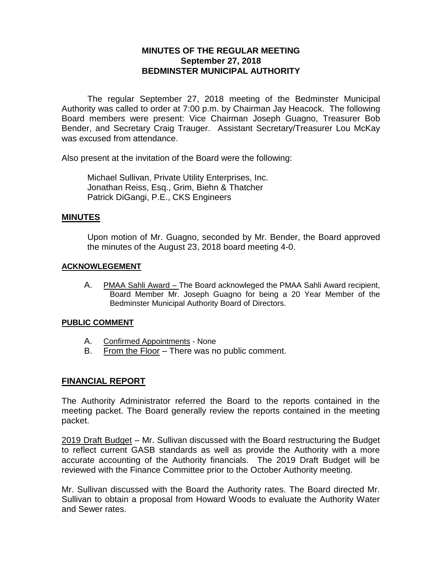# **MINUTES OF THE REGULAR MEETING September 27, 2018 BEDMINSTER MUNICIPAL AUTHORITY**

The regular September 27, 2018 meeting of the Bedminster Municipal Authority was called to order at 7:00 p.m. by Chairman Jay Heacock. The following Board members were present: Vice Chairman Joseph Guagno, Treasurer Bob Bender, and Secretary Craig Trauger. Assistant Secretary/Treasurer Lou McKay was excused from attendance.

Also present at the invitation of the Board were the following:

Michael Sullivan, Private Utility Enterprises, Inc. Jonathan Reiss, Esq., Grim, Biehn & Thatcher Patrick DiGangi, P.E., CKS Engineers

## **MINUTES**

Upon motion of Mr. Guagno, seconded by Mr. Bender, the Board approved the minutes of the August 23, 2018 board meeting 4-0.

## **ACKNOWLEGEMENT**

A. PMAA Sahli Award – The Board acknowleged the PMAA Sahli Award recipient, Board Member Mr. Joseph Guagno for being a 20 Year Member of the Bedminster Municipal Authority Board of Directors.

## **PUBLIC COMMENT**

- A. Confirmed Appointments None
- B. From the Floor There was no public comment.

## **FINANCIAL REPORT**

The Authority Administrator referred the Board to the reports contained in the meeting packet. The Board generally review the reports contained in the meeting packet.

2019 Draft Budget – Mr. Sullivan discussed with the Board restructuring the Budget to reflect current GASB standards as well as provide the Authority with a more accurate accounting of the Authority financials. The 2019 Draft Budget will be reviewed with the Finance Committee prior to the October Authority meeting.

Mr. Sullivan discussed with the Board the Authority rates. The Board directed Mr. Sullivan to obtain a proposal from Howard Woods to evaluate the Authority Water and Sewer rates.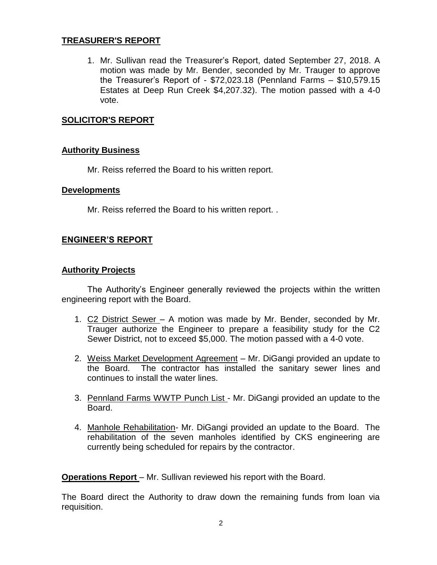# **TREASURER'S REPORT**

1. Mr. Sullivan read the Treasurer's Report, dated September 27, 2018. A motion was made by Mr. Bender, seconded by Mr. Trauger to approve the Treasurer's Report of - \$72,023.18 (Pennland Farms – \$10,579.15 Estates at Deep Run Creek \$4,207.32). The motion passed with a 4-0 vote.

# **SOLICITOR'S REPORT**

## **Authority Business**

Mr. Reiss referred the Board to his written report.

## **Developments**

Mr. Reiss referred the Board to his written report. .

## **ENGINEER'S REPORT**

## **Authority Projects**

The Authority's Engineer generally reviewed the projects within the written engineering report with the Board.

- 1. C2 District Sewer A motion was made by Mr. Bender, seconded by Mr. Trauger authorize the Engineer to prepare a feasibility study for the C2 Sewer District, not to exceed \$5,000. The motion passed with a 4-0 vote.
- 2. Weiss Market Development Agreement Mr. DiGangi provided an update to the Board. The contractor has installed the sanitary sewer lines and continues to install the water lines.
- 3. Pennland Farms WWTP Punch List Mr. DiGangi provided an update to the Board.
- 4. Manhole Rehabilitation- Mr. DiGangi provided an update to the Board. The rehabilitation of the seven manholes identified by CKS engineering are currently being scheduled for repairs by the contractor.

**Operations Report** – Mr. Sullivan reviewed his report with the Board.

The Board direct the Authority to draw down the remaining funds from loan via requisition.